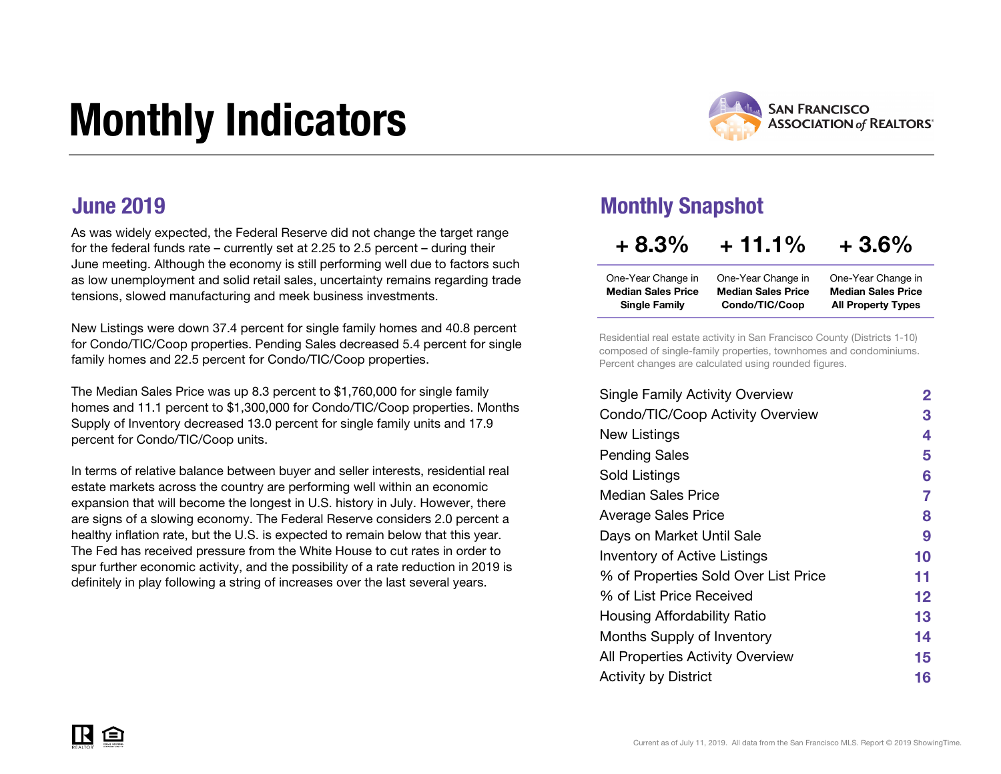# Monthly Indicators



### June 2019

As was widely expected, the Federal Reserve did not change the target range for the federal funds rate – currently set at 2.25 to 2.5 percent – during their June meeting. Although the economy is still performing well due to factors such as low unemployment and solid retail sales, uncertainty remains regarding trade tensions, slowed manufacturing and meek business investments.

New Listings were down 37.4 percent for single family homes and 40.8 percent for Condo/TIC/Coop properties. Pending Sales decreased 5.4 percent for single family homes and 22.5 percent for Condo/TIC/Coop properties.

The Median Sales Price was up 8.3 percent to \$1,760,000 for single family homes and 11.1 percent to \$1,300,000 for Condo/TIC/Coop properties. Months Supply of Inventory decreased 13.0 percent for single family units and 17.9 percent for Condo/TIC/Coop units.

In terms of relative balance between buyer and seller interests, residential real estate markets across the country are performing well within an economic expansion that will become the longest in U.S. history in July. However, there are signs of a slowing economy. The Federal Reserve considers 2.0 percent a healthy inflation rate, but the U.S. is expected to remain below that this year. The Fed has received pressure from the White House to cut rates in order to spur further economic activity, and the possibility of a rate reduction in 2019 is definitely in play following a string of increases over the last several years.

### Monthly Snapshot

# $+8.3\% + 11.1\% + 3.6\%$

| One-Year Change in        | One-Year Change in        | One-Year Change in        |
|---------------------------|---------------------------|---------------------------|
| <b>Median Sales Price</b> | <b>Median Sales Price</b> | <b>Median Sales Price</b> |
| <b>Single Family</b>      | Condo/TIC/Coop            | <b>All Property Types</b> |

Residential real estate activity in San Francisco County (Districts 1-10) composed of single-family properties, townhomes and condominiums. Percent changes are calculated using rounded figures.

| <b>Single Family Activity Overview</b> | $\mathbf{2}$ |
|----------------------------------------|--------------|
| Condo/TIC/Coop Activity Overview       | З            |
| New Listings                           | 4            |
| <b>Pending Sales</b>                   | 5            |
| Sold Listings                          | 6            |
| Median Sales Price                     | 7            |
| Average Sales Price                    | 8            |
| Days on Market Until Sale              | 9            |
| <b>Inventory of Active Listings</b>    | 10           |
| % of Properties Sold Over List Price   | 11           |
| % of List Price Received               | 12           |
| Housing Affordability Ratio            | 13           |
| Months Supply of Inventory             | 14           |
| All Properties Activity Overview       | 15           |
| <b>Activity by District</b>            | 16           |
|                                        |              |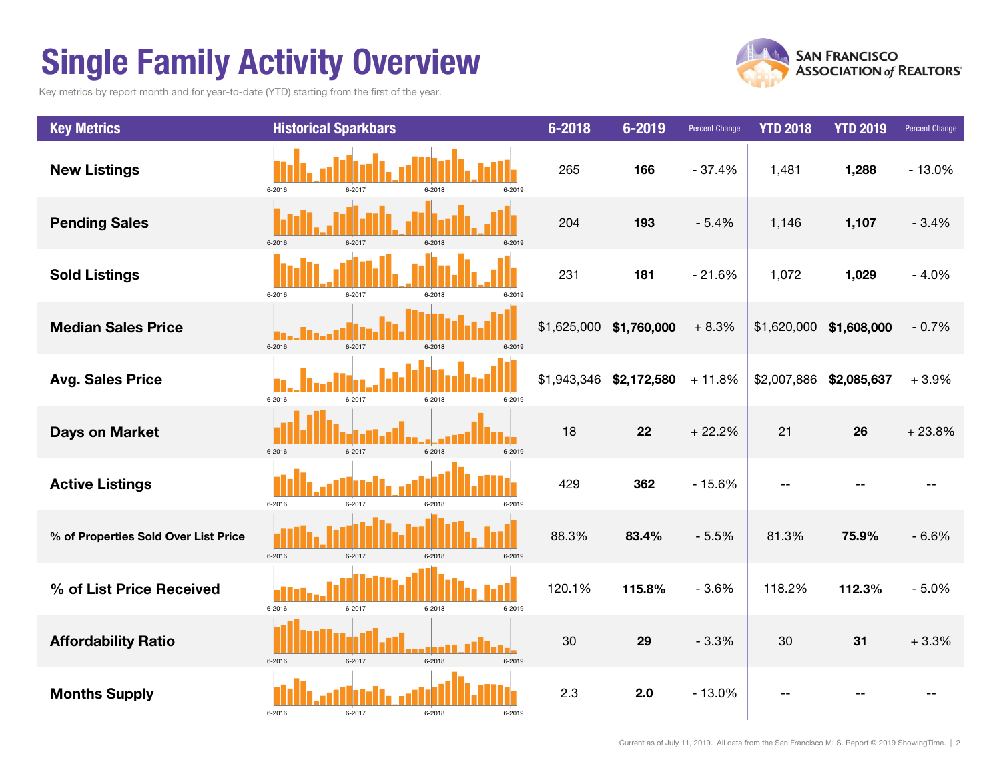# Single Family Activity Overview

Key metrics by report month and for year-to-date (YTD) starting from the first of the year.



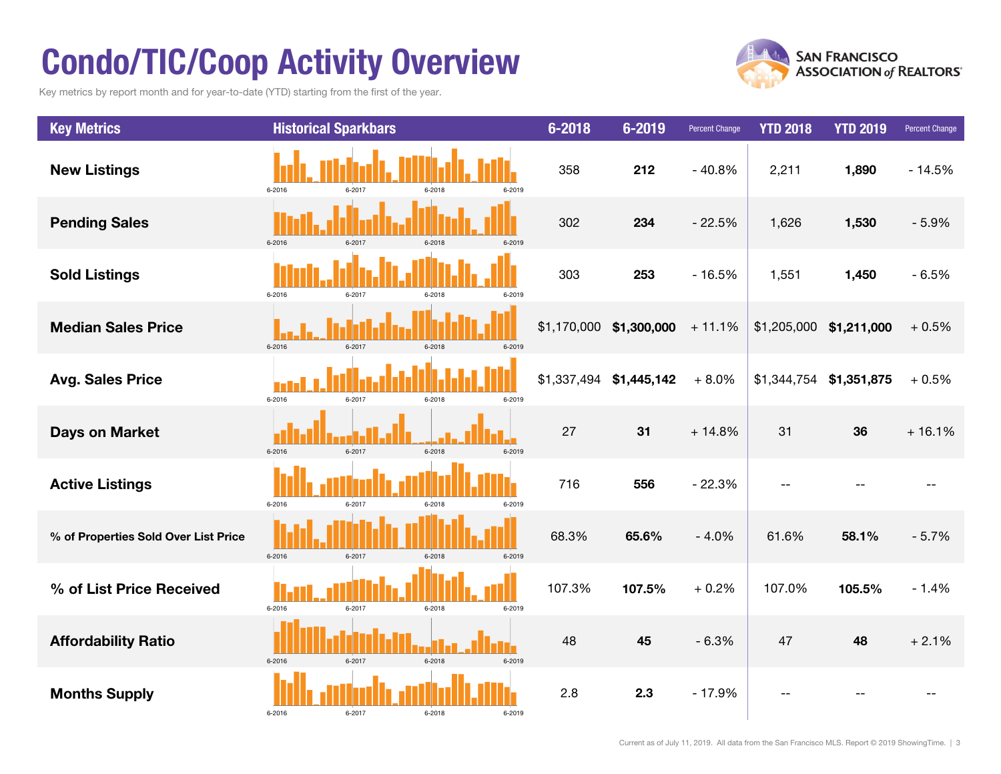# Condo/TIC/Coop Activity Overview

Key metrics by report month and for year-to-date (YTD) starting from the first of the year.



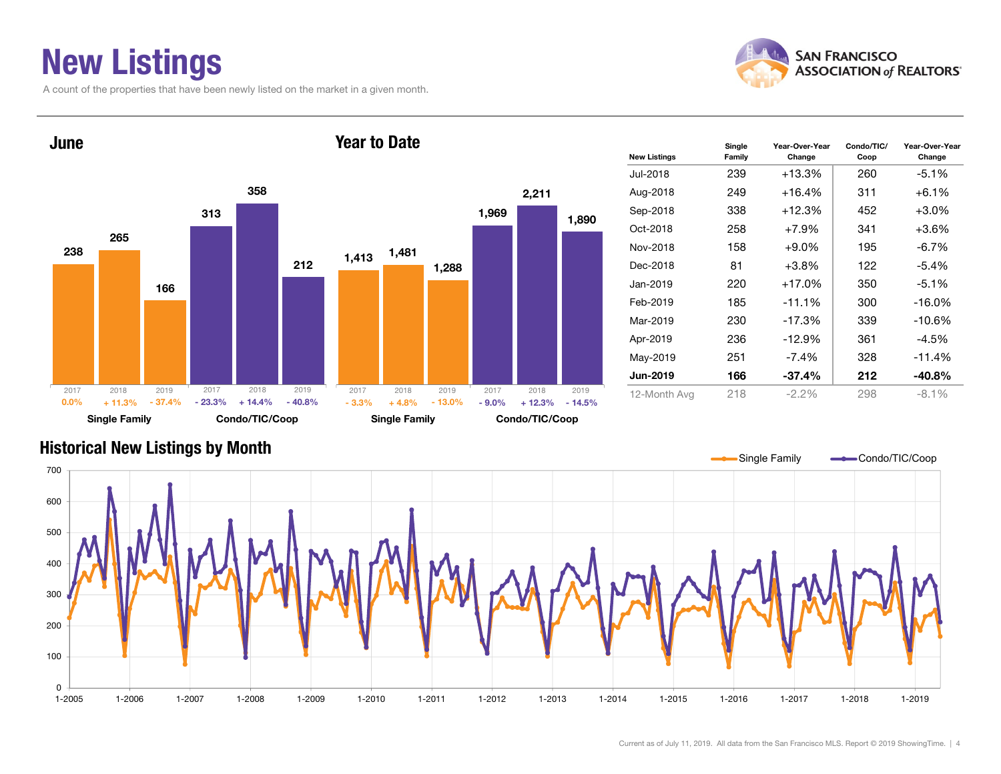### New Listings

A count of the properties that have been newly listed on the market in a given month.





| <b>New Listings</b> | Single<br>Family | Year-Over-Year<br>Change | Condo/TIC/<br>Coop | Year-Over-Year<br>Change |
|---------------------|------------------|--------------------------|--------------------|--------------------------|
| Jul-2018            | 239              | $+13.3%$                 | 260                | $-5.1%$                  |
| Aug-2018            | 249              | $+16.4%$                 | 311                | $+6.1%$                  |
| Sep-2018            | 338              | $+12.3%$                 | 452                | $+3.0%$                  |
| Oct-2018            | 258              | $+7.9\%$                 | 341                | $+3.6\%$                 |
| Nov-2018            | 158              | $+9.0\%$                 | 195                | $-6.7\%$                 |
| Dec-2018            | 81               | $+3.8\%$                 | 122                | $-5.4\%$                 |
| Jan-2019            | 220              | $+17.0%$                 | 350                | $-5.1%$                  |
| Feb-2019            | 185              | $-11.1%$                 | 300                | $-16.0\%$                |
| Mar-2019            | 230              | $-17.3%$                 | 339                | $-10.6%$                 |
| Apr-2019            | 236              | $-12.9%$                 | 361                | $-4.5%$                  |
| May-2019            | 251              | $-7.4\%$                 | 328                | $-11.4%$                 |
| Jun-2019            | 166              | $-37.4\%$                | 212                | $-40.8%$                 |
| 12-Month Avg        | 218              | $-2.2\%$                 | 298                | $-8.1\%$                 |

#### Historical New Listings by Month

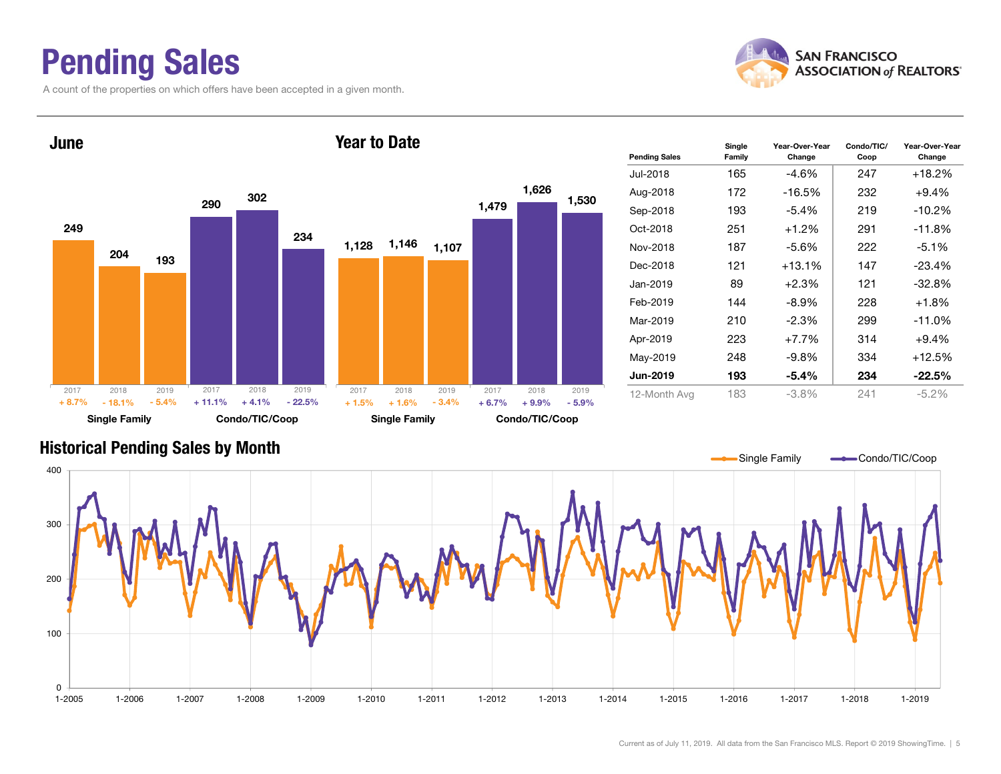### Pending Sales

A count of the properties on which offers have been accepted in a given month.





#### Historical Pending Sales by Month

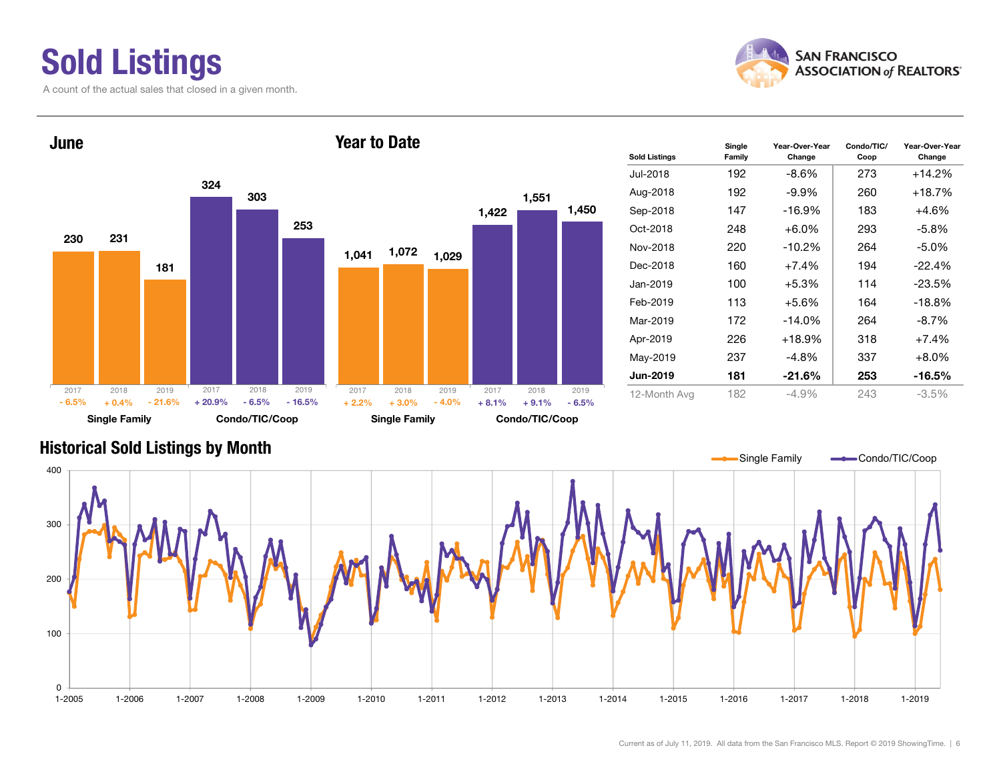# Sold Listings

A count of the actual sales that closed in a given month.





| <b>Sold Listings</b> | Single<br>Family | Year-Over-Year<br>Change | Condo/TIC/<br>Coop | Year-Over-Year<br>Change |
|----------------------|------------------|--------------------------|--------------------|--------------------------|
| Jul-2018             | 192              | -8.6%                    | 273                | +14.2%                   |
| Aug-2018             | 192              | $-9.9\%$                 | 260                | +18.7%                   |
| Sep-2018             | 147              | $-16.9%$                 | 183                | $+4.6%$                  |
| Oct-2018             | 248              | $+6.0\%$                 | 293                | -5.8%                    |
| Nov-2018             | 220              | $-10.2%$                 | 264                | $-5.0\%$                 |
| Dec-2018             | 160              | $+7.4%$                  | 194                | $-22.4\%$                |
| Jan-2019             | 100              | $+5.3\%$                 | 114                | $-23.5%$                 |
| Feb-2019             | 113              | $+5.6%$                  | 164                | $-18.8%$                 |
| Mar-2019             | 172              | $-14.0%$                 | 264                | -8.7%                    |
| Apr-2019             | 226              | $+18.9%$                 | 318                | $+7.4%$                  |
| May-2019             | 237              | -4.8%                    | 337                | $+8.0%$                  |
| <b>Jun-2019</b>      | 181              | -21.6%                   | 253                | -16.5%                   |
| 12-Month Avg         | 182              | $-4.9\%$                 | 243                | $-3.5%$                  |

#### Historical Sold Listings by Month

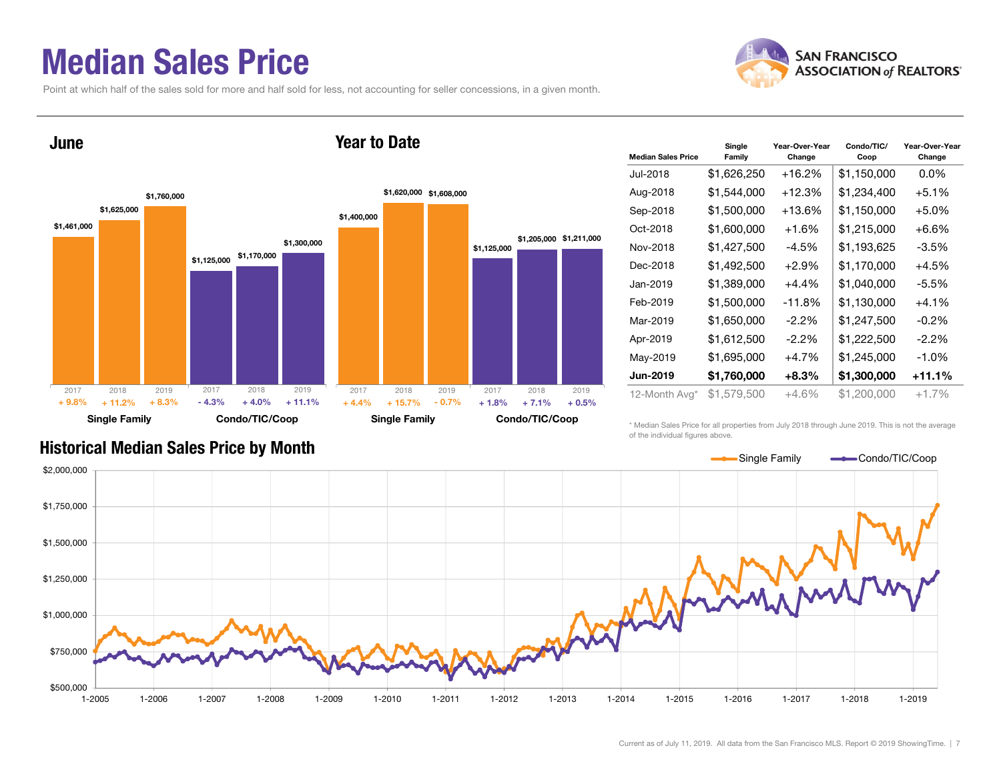### Median Sales Price

Point at which half of the sales sold for more and half sold for less, not accounting for seller concessions, in a given month.





| <b>Median Sales Price</b> | Single<br>Family | Year-Over-Year<br>Change | Condo/TIC/<br>Coop | Year-Over-Year<br>Change |
|---------------------------|------------------|--------------------------|--------------------|--------------------------|
| Jul-2018                  | \$1,626,250      | +16.2%                   | \$1,150,000        | $0.0\%$                  |
| Aug-2018                  | \$1,544,000      | $+12.3%$                 | \$1,234,400        | $+5.1%$                  |
| Sep-2018                  | \$1,500,000      | $+13.6%$                 | \$1,150,000        | $+5.0%$                  |
| Oct-2018                  | \$1,600,000      | $+1.6%$                  | \$1,215,000        | $+6.6%$                  |
| Nov-2018                  | \$1,427,500      | $-4.5%$                  | \$1,193,625        | $-3.5%$                  |
| Dec-2018                  | \$1,492,500      | $+2.9%$                  | \$1,170,000        | $+4.5%$                  |
| Jan-2019                  | \$1,389,000      | $+4.4\%$                 | \$1,040,000        | -5.5%                    |
| Feb-2019                  | \$1,500,000      | -11.8%                   | \$1,130,000        | $+4.1%$                  |
| Mar-2019                  | \$1,650,000      | $-2.2\%$                 | \$1,247,500        | $-0.2\%$                 |
| Apr-2019                  | \$1,612,500      | $-2.2\%$                 | \$1,222,500        | $-2.2\%$                 |
| May-2019                  | \$1,695,000      | $+4.7%$                  | \$1,245,000        | $-1.0%$                  |
| Jun-2019                  | \$1,760,000      | $+8.3%$                  | \$1,300,000        | +11.1%                   |
| 12-Month Avg*             | \$1,579,500      | $+4.6%$                  | \$1,200,000        | $+1.7%$                  |

\* Median Sales Price for all properties from July 2018 through June 2019. This is not the average of the individual figures above.



### Historical Median Sales Price by Month

Single Family **Condo/TIC/Coop**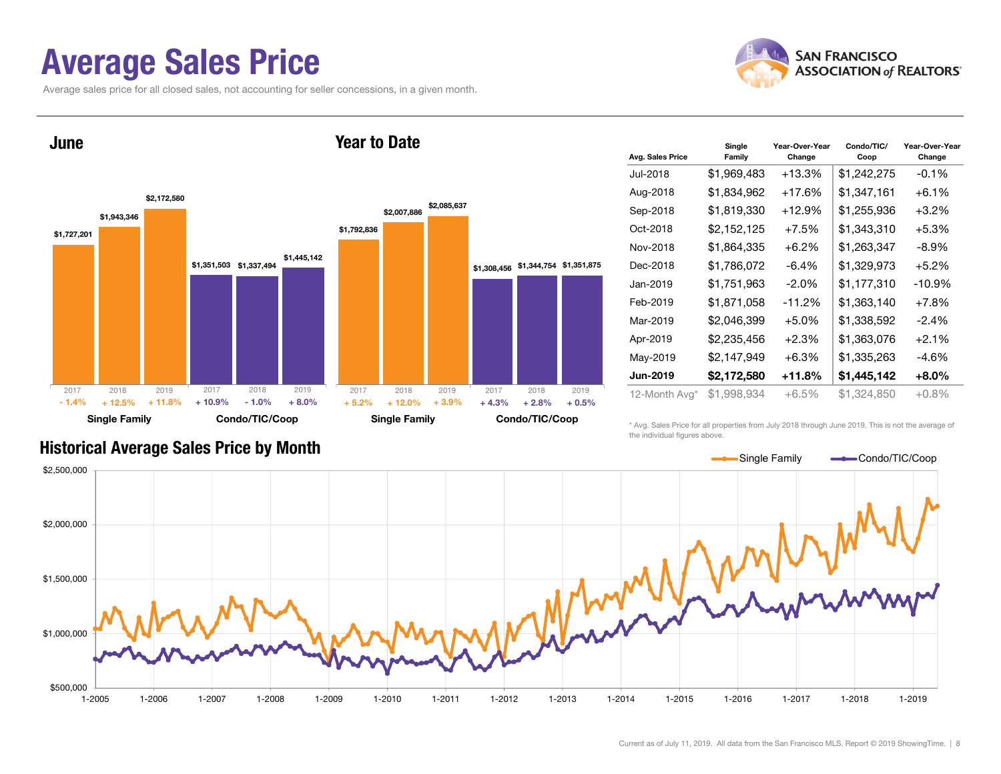### Average Sales Price

June

Average sales price for all closed sales, not accounting for seller concessions, in a given month.



\$1,727,201 \$1,351,503 \$1,337,494 \$1,943,346 \$2,172,580 \$1,445,142 Single Family Condo/TIC/Coop \$1,792,836 \$1,308,456 \$1,344,754 \$1,351,875 \$2,007,886 \$2,085,637 Single Family Condo/TIC/Coop 2017 2018 2019+ 12.5% $\%$  + 11.8% + 10.9% - 1.0% + 8.0% + 5.2% + 12.0% + 3.9% + 4.3% + 2.8%  $+2.8\%$   $+0.5\%$ 2017 2018 2019 2017 2018 2019 2017 2018 2019 - 1.4% $+ 11.8\% + 10.9\% - 1.0\% + 8.0\% + 5.2\%$  $+ 12.0\% + 3.9\% + 4.3\%$ 

Year to Date

| Avg. Sales Price | Single<br>Family | Year-Over-Year<br>Change | Condo/TIC/<br>Coop | Year-Over-Year<br>Change |
|------------------|------------------|--------------------------|--------------------|--------------------------|
| Jul-2018         | \$1,969,483      | $+13.3%$                 | \$1,242,275        | $-0.1%$                  |
| Aug-2018         | \$1,834,962      | +17.6%                   | \$1,347,161        | $+6.1%$                  |
| Sep-2018         | \$1,819,330      | $+12.9%$                 | \$1,255,936        | $+3.2%$                  |
| Oct-2018         | \$2,152,125      | $+7.5%$                  | \$1,343,310        | $+5.3%$                  |
| Nov-2018         | \$1,864,335      | $+6.2\%$                 | \$1,263,347        | -8.9%                    |
| Dec-2018         | \$1,786,072      | -6.4%                    | \$1,329,973        | $+5.2%$                  |
| Jan-2019         | \$1,751,963      | $-2.0\%$                 | \$1,177,310        | $-10.9%$                 |
| Feb-2019         | \$1,871,058      | $-11.2%$                 | \$1,363,140        | $+7.8%$                  |
| Mar-2019         | \$2,046,399      | $+5.0%$                  | \$1,338,592        | $-2.4%$                  |
| Apr-2019         | \$2,235,456      | $+2.3%$                  | \$1,363,076        | $+2.1%$                  |
| May-2019         | \$2,147,949      | $+6.3%$                  | \$1,335,263        | -4.6%                    |
| Jun-2019         | \$2,172,580      | +11.8%                   | \$1,445,142        | $+8.0\%$                 |
| 12-Month Avg*    | \$1,998,934      | +6.5%                    | \$1,324,850        | $+0.8\%$                 |

#### Historical Average Sales Price by Month

\* Avg. Sales Price for all properties from July 2018 through June 2019. This is not the average of the individual figures above.

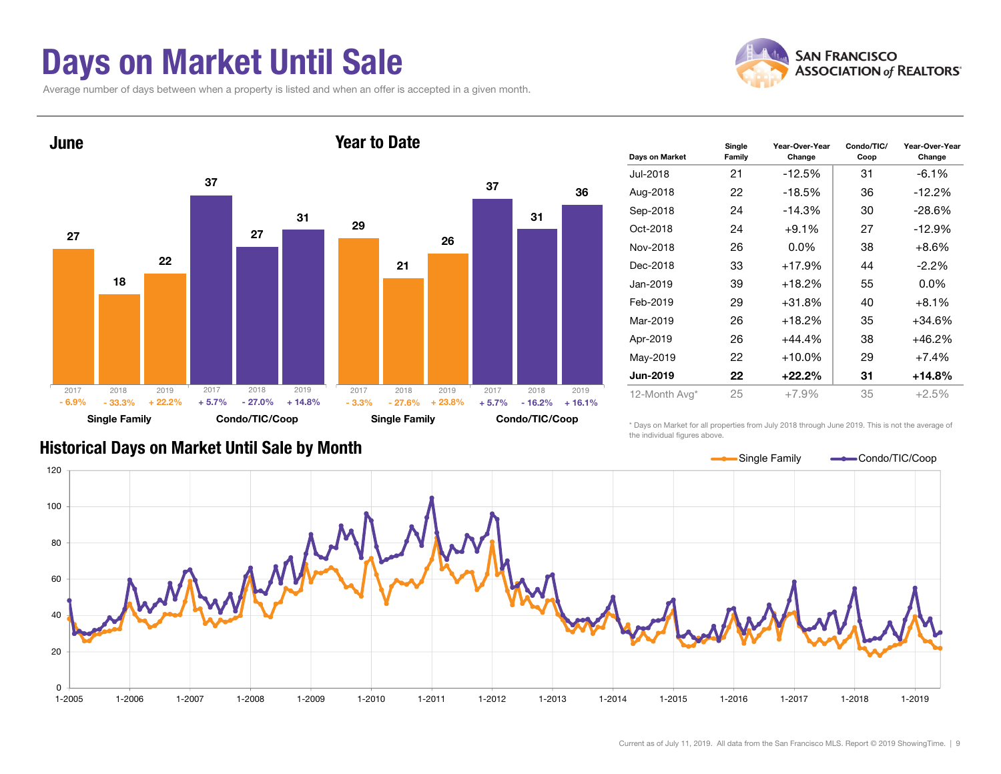### Days on Market Until Sale

Average number of days between when a property is listed and when an offer is accepted in a given month.





| Days on Market  | Single<br>Family | Year-Over-Year<br>Change | Condo/TIC/<br>Coop | Year-Over-Year<br>Change |
|-----------------|------------------|--------------------------|--------------------|--------------------------|
| Jul-2018        | 21               | $-12.5%$                 | 31                 | $-6.1\%$                 |
| Aug-2018        | 22               | $-18.5%$                 | 36                 | $-12.2%$                 |
| Sep-2018        | 24               | $-14.3%$                 | 30                 | $-28.6%$                 |
| Oct-2018        | 24               | $+9.1%$                  | 27                 | $-12.9%$                 |
| Nov-2018        | 26               | $0.0\%$                  | 38                 | $+8.6%$                  |
| Dec-2018        | 33               | $+17.9%$                 | 44                 | $-2.2\%$                 |
| Jan-2019        | 39               | $+18.2%$                 | 55                 | $0.0\%$                  |
| Feb-2019        | 29               | $+31.8%$                 | 40                 | $+8.1%$                  |
| Mar-2019        | 26               | $+18.2%$                 | 35                 | +34.6%                   |
| Apr-2019        | 26               | $+44.4%$                 | 38                 | +46.2%                   |
| May-2019        | 22               | $+10.0\%$                | 29                 | $+7.4%$                  |
| <b>Jun-2019</b> | 22               | $+22.2\%$                | 31                 | +14.8%                   |
| 12-Month Avg*   | 25               | $+7.9%$                  | 35                 | $+2.5%$                  |

#### Historical Days on Market Until Sale by Month

\* Days on Market for all properties from July 2018 through June 2019. This is not the average of the individual figures above.

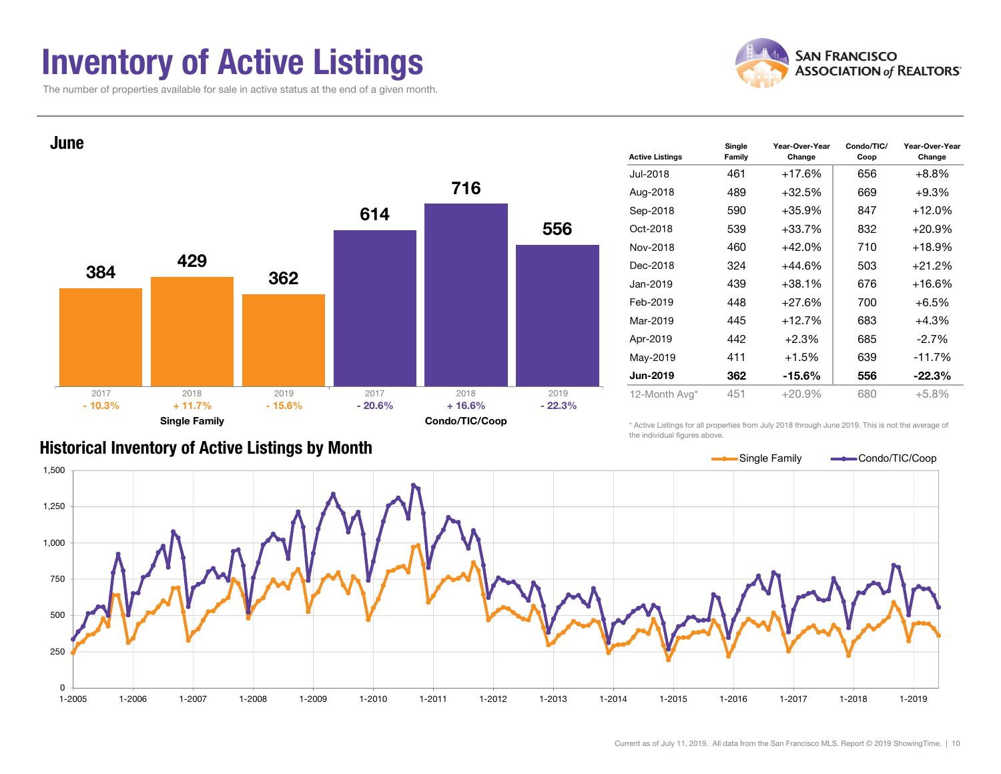### Inventory of Active Listings

The number of properties available for sale in active status at the end of a given month.



Condo/TIC/

Year-Over-Year



|  | <b>Historical Inventory of Active Listings by Month</b> |  |  |  |
|--|---------------------------------------------------------|--|--|--|
|--|---------------------------------------------------------|--|--|--|

| <b>Active Listings</b> | <br>Family | Change    | Coop | Change    |
|------------------------|------------|-----------|------|-----------|
| Jul-2018               | 461        | $+17.6%$  | 656  | $+8.8%$   |
| Aug-2018               | 489        | $+32.5%$  | 669  | $+9.3%$   |
| Sep-2018               | 590        | $+35.9%$  | 847  | $+12.0%$  |
| Oct-2018               | 539        | $+33.7%$  | 832  | $+20.9\%$ |
| Nov-2018               | 460        | $+42.0%$  | 710  | $+18.9%$  |
| Dec-2018               | 324        | $+44.6%$  | 503  | $+21.2%$  |
| Jan-2019               | 439        | $+38.1%$  | 676  | +16.6%    |
| Feb-2019               | 448        | $+27.6%$  | 700  | $+6.5%$   |
| Mar-2019               | 445        | $+12.7%$  | 683  | $+4.3%$   |
| Apr-2019               | 442        | $+2.3%$   | 685  | $-2.7%$   |
| May-2019               | 411        | $+1.5%$   | 639  | $-11.7%$  |
| <b>Jun-2019</b>        | 362        | $-15.6\%$ | 556  | $-22.3%$  |
| 12-Month Avg*          | 451        | $+20.9%$  | 680  | $+5.8%$   |
|                        |            |           |      |           |

Year-Over-Year

**Single** 

\* Active Listings for all properties from July 2018 through June 2019. This is not the average of the individual figures above.

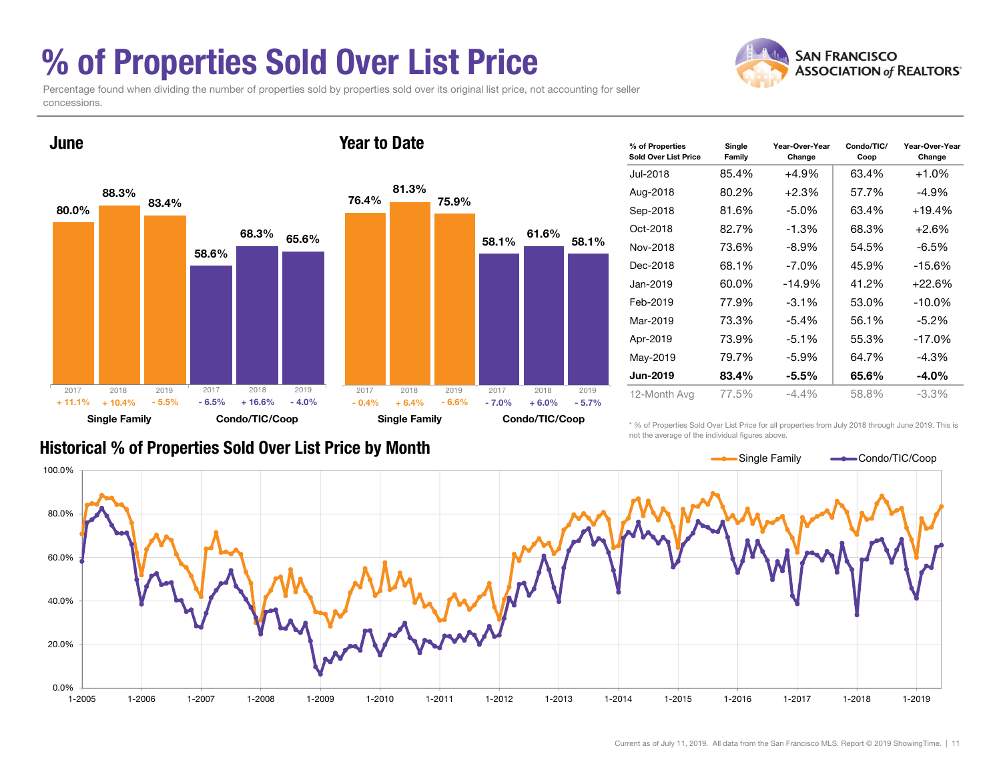### % of Properties Sold Over List Price

Percentage found when dividing the number of properties sold by properties sold over its original list price, not accounting for seller concessions.



| % of Properties<br>Sold Over List Price | Single<br>Family | Year-Over-Year<br>Change | Condo/TIC/<br>Coop | Year-Over-Year<br>Change |
|-----------------------------------------|------------------|--------------------------|--------------------|--------------------------|
| Jul-2018                                | 85.4%            | $+4.9%$                  | 63.4%              | $+1.0%$                  |
| Aug-2018                                | 80.2%            | $+2.3%$                  | 57.7%              | -4.9%                    |
| Sep-2018                                | 81.6%            | $-5.0\%$                 | 63.4%              | $+19.4%$                 |
| Oct-2018                                | 82.7%            | $-1.3%$                  | 68.3%              | $+2.6%$                  |
| Nov-2018                                | 73.6%            | $-8.9\%$                 | 54.5%              | $-6.5%$                  |
| Dec-2018                                | 68.1%            | $-7.0\%$                 | 45.9%              | $-15.6%$                 |
| Jan-2019                                | 60.0%            | $-14.9%$                 | 41.2%              | $+22.6%$                 |
| Feb-2019                                | 77.9%            | $-3.1\%$                 | 53.0%              | $-10.0\%$                |
| Mar-2019                                | 73.3%            | $-5.4%$                  | 56.1%              | $-5.2\%$                 |
| Apr-2019                                | 73.9%            | $-5.1%$                  | 55.3%              | $-17.0\%$                |
| May-2019                                | 79.7%            | $-5.9%$                  | 64.7%              | $-4.3%$                  |
| Jun-2019                                | 83.4%            | $-5.5%$                  | 65.6%              | $-4.0\%$                 |
| 12-Month Avg                            | 77.5%            | -4.4%                    | 58.8%              | -3.3%                    |

#### Historical % of Properties Sold Over List Price by Month

\* % of Properties Sold Over List Price for all properties from July 2018 through June 2019. This is not the average of the individual figures above.



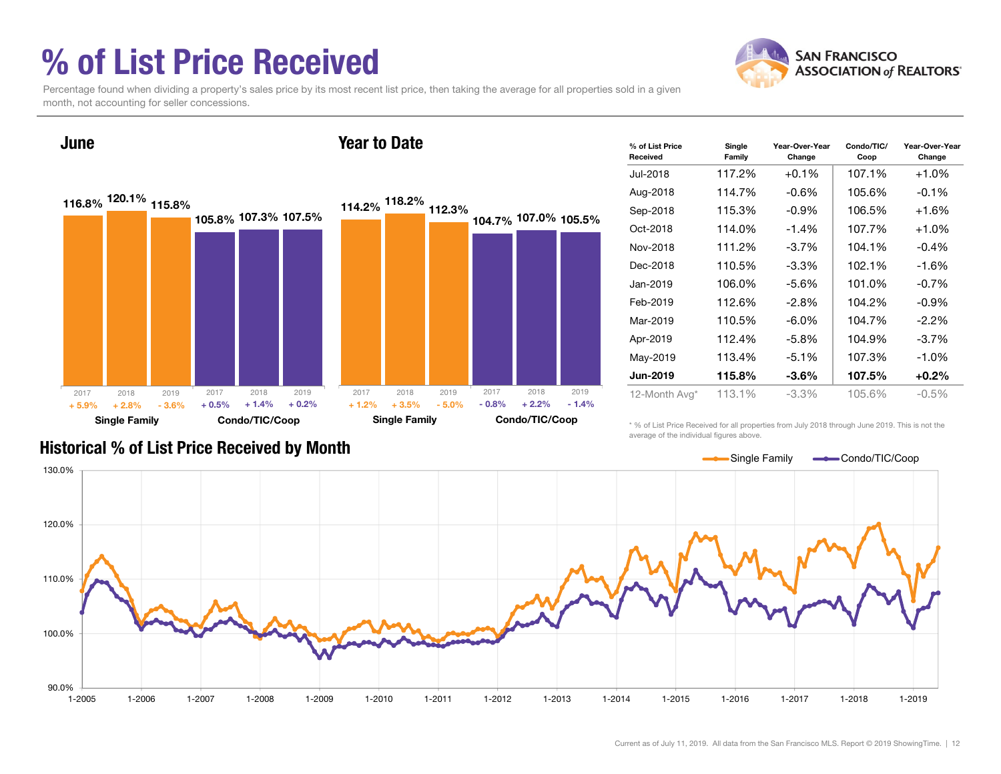### % of List Price Received



Percentage found when dividing a property's sales price by its most recent list price, then taking the average for all properties sold in a given month, not accounting for seller concessions.



| % of List Price<br>Received | Single<br>Family | Year-Over-Year<br>Change | Condo/TIC/<br>Coop | Year-Over-Year<br>Change |
|-----------------------------|------------------|--------------------------|--------------------|--------------------------|
| Jul-2018                    | 117.2%           | $+0.1%$                  | 107.1%             | $+1.0%$                  |
| Aug-2018                    | 114.7%           | $-0.6\%$                 | 105.6%             | $-0.1%$                  |
| Sep-2018                    | 115.3%           | $-0.9%$                  | 106.5%             | $+1.6%$                  |
| Oct-2018                    | 114.0%           | $-1.4%$                  | 107.7%             | $+1.0\%$                 |
| Nov-2018                    | 111.2%           | $-3.7%$                  | 104.1%             | $-0.4%$                  |
| Dec-2018                    | 110.5%           | $-3.3\%$                 | 102.1%             | $-1.6%$                  |
| Jan-2019                    | 106.0%           | $-5.6\%$                 | 101.0%             | $-0.7%$                  |
| Feb-2019                    | 112.6%           | $-2.8%$                  | 104.2%             | $-0.9%$                  |
| Mar-2019                    | 110.5%           | $-6.0\%$                 | 104.7%             | $-2.2\%$                 |
| Apr-2019                    | 112.4%           | -5.8%                    | 104.9%             | -3.7%                    |
| May-2019                    | 113.4%           | $-5.1%$                  | 107.3%             | $-1.0\%$                 |
| Jun-2019                    | 115.8%           | $-3.6\%$                 | 107.5%             | $+0.2\%$                 |
| 12-Month Avg*               | 113.1%           | $-3.3\%$                 | 105.6%             | $-0.5\%$                 |

\* % of List Price Received for all properties from July 2018 through June 2019. This is not the average of the individual figures above.



#### Historical % of List Price Received by Month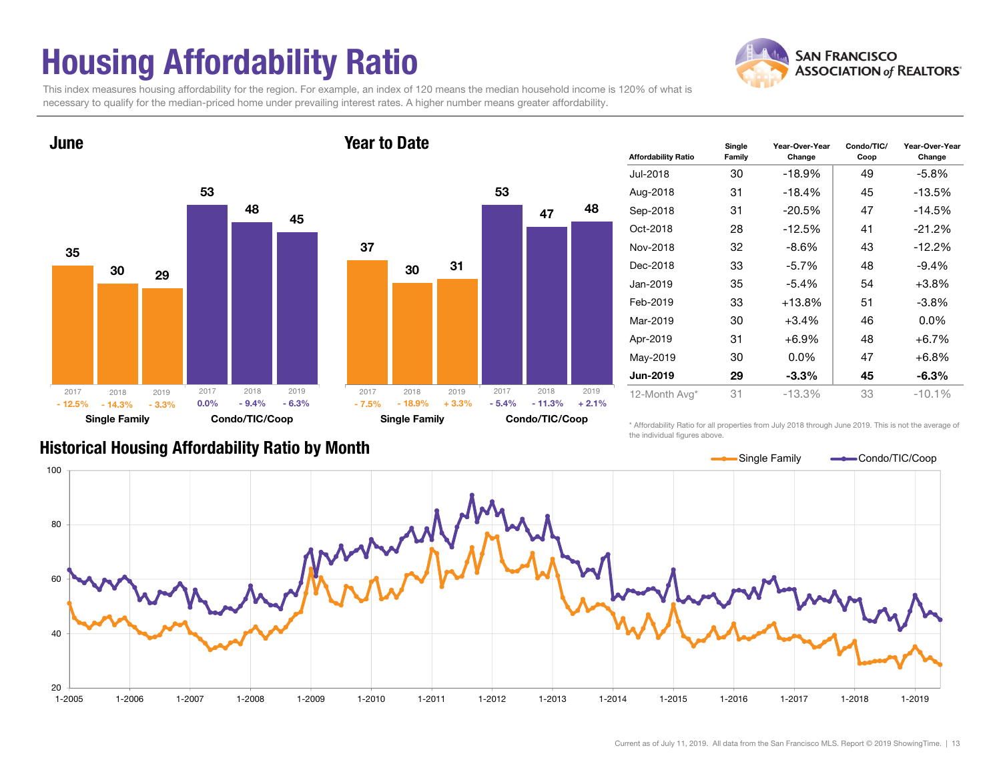# Housing Affordability Ratio

**SAN FRANCISCO ASSOCIATION of REALTORS'** 

This index measures housing affordability for the region. For example, an index of 120 means the median household income is 120% of what is necessary to qualify for the median-priced home under prevailing interest rates. A higher number means greater affordability.



### 5330473148Single Family Condo/TIC/Coop 2018 2019  $\%$  - 18.9% + 3.3% - 5.4%  $+3.3\%$   $-5.4\%$   $-11.3\%$   $+2.1\%$ 20172018 2019

| <b>Affordability Ratio</b> | Single<br>Family | Year-Over-Year<br>Change | Condo/TIC/<br>Coop | Year-Over-Year<br>Change |
|----------------------------|------------------|--------------------------|--------------------|--------------------------|
| Jul-2018                   | 30               | $-18.9%$                 | 49                 | -5.8%                    |
| Aug-2018                   | 31               | $-18.4%$                 | 45                 | $-13.5%$                 |
| Sep-2018                   | 31               | $-20.5%$                 | 47                 | $-14.5%$                 |
| Oct-2018                   | 28               | $-12.5%$                 | 41                 | $-21.2%$                 |
| Nov-2018                   | 32               | $-8.6\%$                 | 43                 | $-12.2%$                 |
| Dec-2018                   | 33               | $-5.7\%$                 | 48                 | $-9.4%$                  |
| Jan-2019                   | 35               | $-5.4%$                  | 54                 | $+3.8%$                  |
| Feb-2019                   | 33               | $+13.8\%$                | 51                 | -3.8%                    |
| Mar-2019                   | 30               | +3.4%                    | 46                 | $0.0\%$                  |
| Apr-2019                   | 31               | +6.9%                    | 48                 | $+6.7%$                  |
| May-2019                   | 30               | $0.0\%$                  | 47                 | $+6.8\%$                 |
| <b>Jun-2019</b>            | 29               | $-3.3%$                  | 45                 | $-6.3\%$                 |
| 12-Month Avg*              | 31               | $-13.3%$                 | 33                 | $-10.1%$                 |

Historical Housing Affordability Ratio by Month

\* Affordability Ratio for all properties from July 2018 through June 2019. This is not the average of the individual figures above.

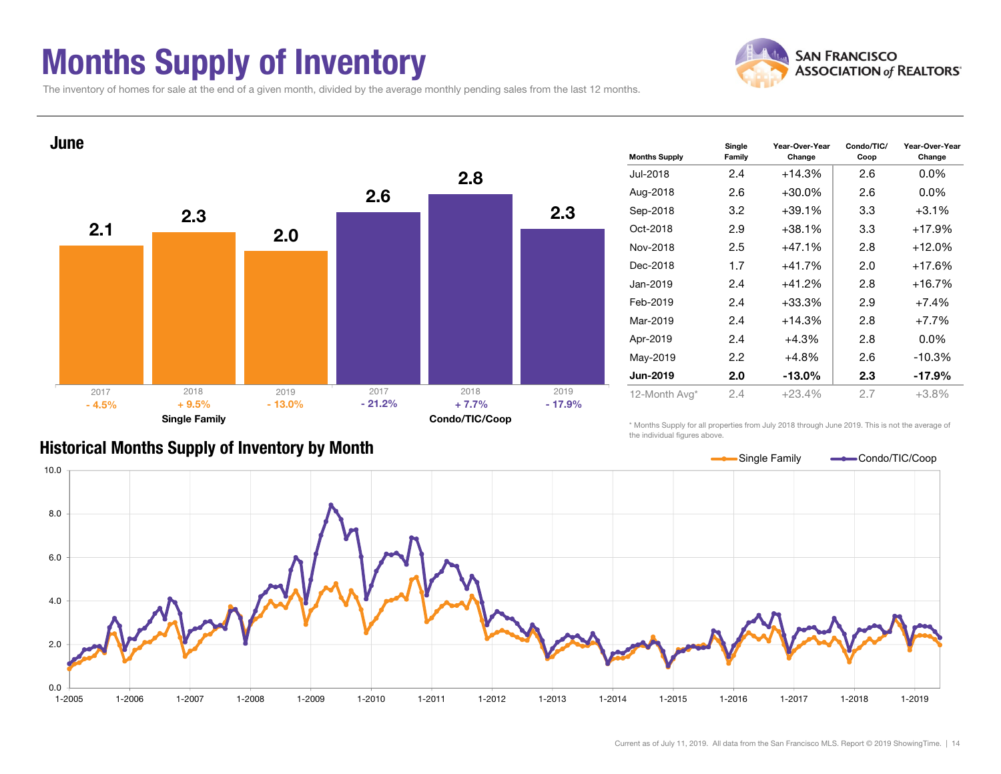### Months Supply of Inventory



Condo/TIC/

Year-Over-Year

The inventory of homes for sale at the end of a given month, divided by the average monthly pending sales from the last 12 months.



| <b>Months Supply</b> | ----<br>Family   | Change    | Coop | Change   |  |  |
|----------------------|------------------|-----------|------|----------|--|--|
| Jul-2018             | 2.4              | $+14.3%$  | 2.6  | $0.0\%$  |  |  |
| Aug-2018             | 2.6              | $+30.0%$  | 2.6  | $0.0\%$  |  |  |
| Sep-2018             | 3.2              | +39.1%    | 3.3  | $+3.1%$  |  |  |
| Oct-2018             | 2.9              | $+38.1%$  | 3.3  | $+17.9%$ |  |  |
| Nov-2018             | 2.5              | $+47.1%$  | 2.8  | $+12.0%$ |  |  |
| Dec-2018             | 1.7              | $+41.7%$  | 2.0  | +17.6%   |  |  |
| Jan-2019             | 2.4              | $+41.2%$  | 2.8  | $+16.7%$ |  |  |
| Feb-2019             | 2.4              | $+33.3%$  | 2.9  | $+7.4%$  |  |  |
| Mar-2019             | 2.4              | +14.3%    | 2.8  | $+7.7%$  |  |  |
| Apr-2019             | 2.4              | +4.3%     | 2.8  | $0.0\%$  |  |  |
| May-2019             | $2.2\phantom{0}$ | +4.8%     | 2.6  | $-10.3%$ |  |  |
| <b>Jun-2019</b>      | 2.0              | $-13.0\%$ | 2.3  | $-17.9%$ |  |  |
| 12-Month Avg*        | 2.4              | $+23.4%$  | 2.7  | $+3.8%$  |  |  |

Year-Over-Year

**Single** 

### Historical Months Supply of Inventory by Month

\* Months Supply for all properties from July 2018 through June 2019. This is not the average of the individual figures above.

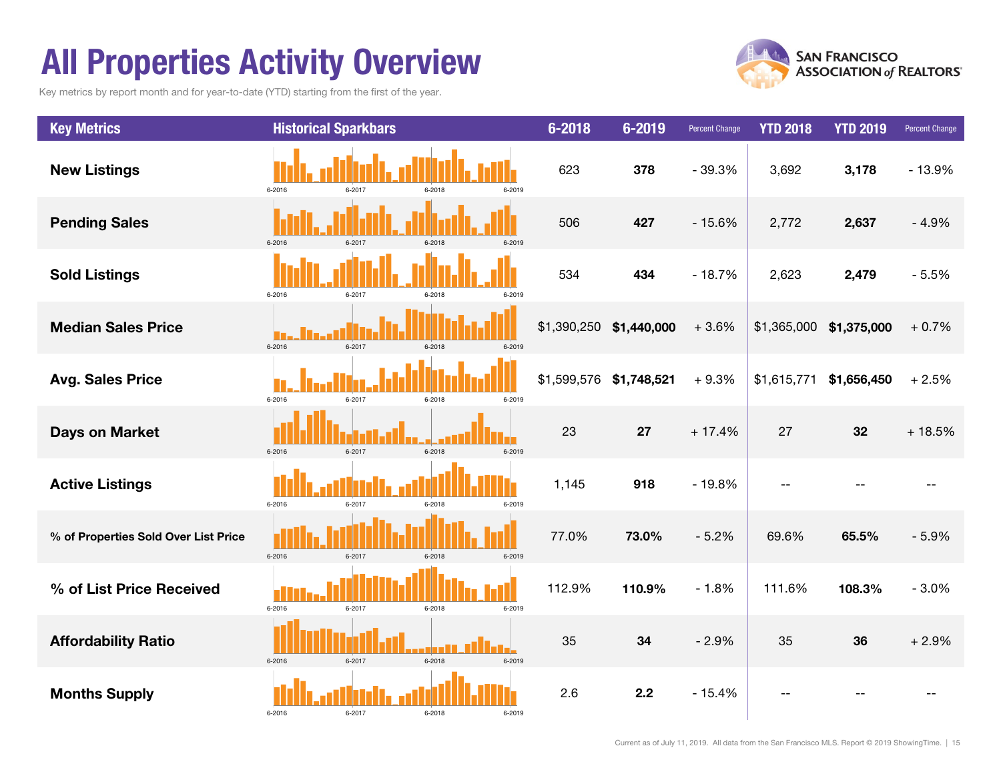### All Properties Activity Overview

Key metrics by report month and for year-to-date (YTD) starting from the first of the year.